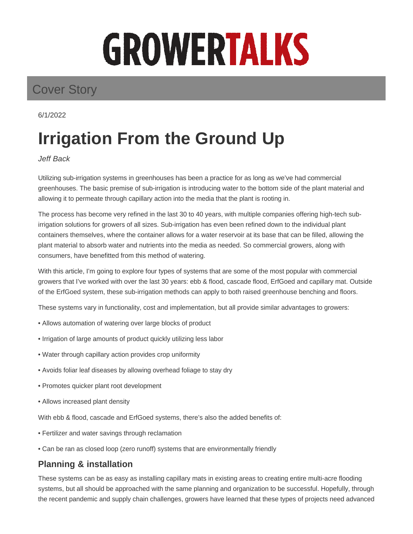# GROWERTALKS

# Cover Story

6/1/2022

# **Irrigation From the Ground Up**

#### Jeff Back

Utilizing sub-irrigation systems in greenhouses has been a practice for as long as we've had commercial greenhouses. The basic premise of sub-irrigation is introducing water to the bottom side of the plant material and allowing it to permeate through capillary action into the media that the plant is rooting in.

The process has become very refined in the last 30 to 40 years, with multiple companies offering high-tech subirrigation solutions for growers of all sizes. Sub-irrigation has even been refined down to the individual plant containers themselves, where the container allows for a water reservoir at its base that can be filled, allowing the plant material to absorb water and nutrients into the media as needed. So commercial growers, along with consumers, have benefitted from this method of watering.

With this article, I'm going to explore four types of systems that are some of the most popular with commercial growers that I've worked with over the last 30 years: ebb & flood, cascade flood, ErfGoed and capillary mat. Outside of the ErfGoed system, these sub-irrigation methods can apply to both raised greenhouse benching and floors.

These systems vary in functionality, cost and implementation, but all provide similar advantages to growers:

- Allows automation of watering over large blocks of product
- Irrigation of large amounts of product quickly utilizing less labor
- Water through capillary action provides crop uniformity
- Avoids foliar leaf diseases by allowing overhead foliage to stay dry
- Promotes quicker plant root development
- Allows increased plant density

With ebb & flood, cascade and ErfGoed systems, there's also the added benefits of:

- Fertilizer and water savings through reclamation
- Can be ran as closed loop (zero runoff) systems that are environmentally friendly

# **Planning & installation**

These systems can be as easy as installing capillary mats in existing areas to creating entire multi-acre flooding systems, but all should be approached with the same planning and organization to be successful. Hopefully, through the recent pandemic and supply chain challenges, growers have learned that these types of projects need advanced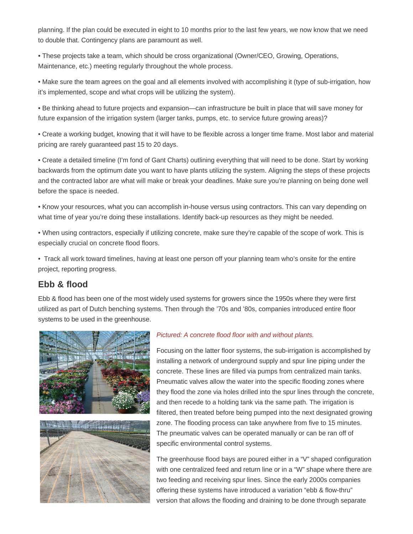planning. If the plan could be executed in eight to 10 months prior to the last few years, we now know that we need to double that. Contingency plans are paramount as well.

• These projects take a team, which should be cross organizational (Owner/CEO, Growing, Operations, Maintenance, etc.) meeting regularly throughout the whole process.

• Make sure the team agrees on the goal and all elements involved with accomplishing it (type of sub-irrigation, how it's implemented, scope and what crops will be utilizing the system).

• Be thinking ahead to future projects and expansion—can infrastructure be built in place that will save money for future expansion of the irrigation system (larger tanks, pumps, etc. to service future growing areas)?

• Create a working budget, knowing that it will have to be flexible across a longer time frame. Most labor and material pricing are rarely guaranteed past 15 to 20 days.

• Create a detailed timeline (I'm fond of Gant Charts) outlining everything that will need to be done. Start by working backwards from the optimum date you want to have plants utilizing the system. Aligning the steps of these projects and the contracted labor are what will make or break your deadlines. Make sure you're planning on being done well before the space is needed.

• Know your resources, what you can accomplish in-house versus using contractors. This can vary depending on what time of year you're doing these installations. Identify back-up resources as they might be needed.

• When using contractors, especially if utilizing concrete, make sure they're capable of the scope of work. This is especially crucial on concrete flood floors.

• Track all work toward timelines, having at least one person off your planning team who's onsite for the entire project, reporting progress.

#### **Ebb & flood**

Ebb & flood has been one of the most widely used systems for growers since the 1950s where they were first utilized as part of Dutch benching systems. Then through the '70s and '80s, companies introduced entire floor systems to be used in the greenhouse.





#### Pictured: A concrete flood floor with and without plants.

Focusing on the latter floor systems, the sub-irrigation is accomplished by installing a network of underground supply and spur line piping under the concrete. These lines are filled via pumps from centralized main tanks. Pneumatic valves allow the water into the specific flooding zones where they flood the zone via holes drilled into the spur lines through the concrete, and then recede to a holding tank via the same path. The irrigation is filtered, then treated before being pumped into the next designated growing zone. The flooding process can take anywhere from five to 15 minutes. The pneumatic valves can be operated manually or can be ran off of specific environmental control systems.

The greenhouse flood bays are poured either in a "V" shaped configuration with one centralized feed and return line or in a "W" shape where there are two feeding and receiving spur lines. Since the early 2000s companies offering these systems have introduced a variation "ebb & flow-thru" version that allows the flooding and draining to be done through separate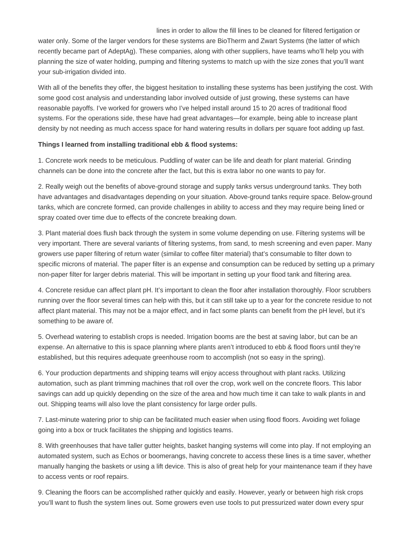lines in order to allow the fill lines to be cleaned for filtered fertigation or water only. Some of the larger vendors for these systems are BioTherm and Zwart Systems (the latter of which recently became part of AdeptAg). These companies, along with other suppliers, have teams who'll help you with planning the size of water holding, pumping and filtering systems to match up with the size zones that you'll want your sub-irrigation divided into.

With all of the benefits they offer, the biggest hesitation to installing these systems has been justifying the cost. With some good cost analysis and understanding labor involved outside of just growing, these systems can have reasonable payoffs. I've worked for growers who I've helped install around 15 to 20 acres of traditional flood systems. For the operations side, these have had great advantages—for example, being able to increase plant density by not needing as much access space for hand watering results in dollars per square foot adding up fast.

#### **Things I learned from installing traditional ebb & flood systems:**

1. Concrete work needs to be meticulous. Puddling of water can be life and death for plant material. Grinding channels can be done into the concrete after the fact, but this is extra labor no one wants to pay for.

2. Really weigh out the benefits of above-ground storage and supply tanks versus underground tanks. They both have advantages and disadvantages depending on your situation. Above-ground tanks require space. Below-ground tanks, which are concrete formed, can provide challenges in ability to access and they may require being lined or spray coated over time due to effects of the concrete breaking down.

3. Plant material does flush back through the system in some volume depending on use. Filtering systems will be very important. There are several variants of filtering systems, from sand, to mesh screening and even paper. Many growers use paper filtering of return water (similar to coffee filter material) that's consumable to filter down to specific microns of material. The paper filter is an expense and consumption can be reduced by setting up a primary non-paper filter for larger debris material. This will be important in setting up your flood tank and filtering area.

4. Concrete residue can affect plant pH. It's important to clean the floor after installation thoroughly. Floor scrubbers running over the floor several times can help with this, but it can still take up to a year for the concrete residue to not affect plant material. This may not be a major effect, and in fact some plants can benefit from the pH level, but it's something to be aware of.

5. Overhead watering to establish crops is needed. Irrigation booms are the best at saving labor, but can be an expense. An alternative to this is space planning where plants aren't introduced to ebb & flood floors until they're established, but this requires adequate greenhouse room to accomplish (not so easy in the spring).

6. Your production departments and shipping teams will enjoy access throughout with plant racks. Utilizing automation, such as plant trimming machines that roll over the crop, work well on the concrete floors. This labor savings can add up quickly depending on the size of the area and how much time it can take to walk plants in and out. Shipping teams will also love the plant consistency for large order pulls.

7. Last-minute watering prior to ship can be facilitated much easier when using flood floors. Avoiding wet foliage going into a box or truck facilitates the shipping and logistics teams.

8. With greenhouses that have taller gutter heights, basket hanging systems will come into play. If not employing an automated system, such as Echos or boomerangs, having concrete to access these lines is a time saver, whether manually hanging the baskets or using a lift device. This is also of great help for your maintenance team if they have to access vents or roof repairs.

9. Cleaning the floors can be accomplished rather quickly and easily. However, yearly or between high risk crops you'll want to flush the system lines out. Some growers even use tools to put pressurized water down every spur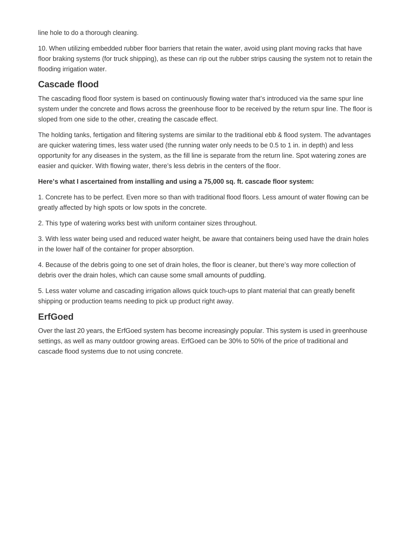line hole to do a thorough cleaning.

10. When utilizing embedded rubber floor barriers that retain the water, avoid using plant moving racks that have floor braking systems (for truck shipping), as these can rip out the rubber strips causing the system not to retain the flooding irrigation water.

#### **Cascade flood**

The cascading flood floor system is based on continuously flowing water that's introduced via the same spur line system under the concrete and flows across the greenhouse floor to be received by the return spur line. The floor is sloped from one side to the other, creating the cascade effect.

The holding tanks, fertigation and filtering systems are similar to the traditional ebb & flood system. The advantages are quicker watering times, less water used (the running water only needs to be 0.5 to 1 in. in depth) and less opportunity for any diseases in the system, as the fill line is separate from the return line. Spot watering zones are easier and quicker. With flowing water, there's less debris in the centers of the floor.

#### **Here's what I ascertained from installing and using a 75,000 sq. ft. cascade floor system:**

1. Concrete has to be perfect. Even more so than with traditional flood floors. Less amount of water flowing can be greatly affected by high spots or low spots in the concrete.

2. This type of watering works best with uniform container sizes throughout.

3. With less water being used and reduced water height, be aware that containers being used have the drain holes in the lower half of the container for proper absorption.

4. Because of the debris going to one set of drain holes, the floor is cleaner, but there's way more collection of debris over the drain holes, which can cause some small amounts of puddling.

5. Less water volume and cascading irrigation allows quick touch-ups to plant material that can greatly benefit shipping or production teams needing to pick up product right away.

### **ErfGoed**

Over the last 20 years, the ErfGoed system has become increasingly popular. This system is used in greenhouse settings, as well as many outdoor growing areas. ErfGoed can be 30% to 50% of the price of traditional and cascade flood systems due to not using concrete.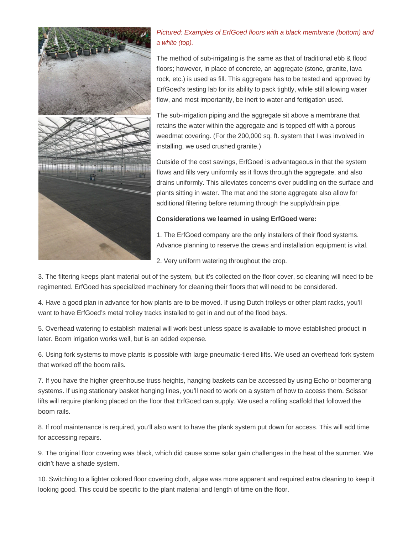

#### Pictured: Examples of ErfGoed floors with a black membrane (bottom) and a white (top).

The method of sub-irrigating is the same as that of traditional ebb & flood floors; however, in place of concrete, an aggregate (stone, granite, lava rock, etc.) is used as fill. This aggregate has to be tested and approved by ErfGoed's testing lab for its ability to pack tightly, while still allowing water flow, and most importantly, be inert to water and fertigation used.

The sub-irrigation piping and the aggregate sit above a membrane that retains the water within the aggregate and is topped off with a porous weedmat covering. (For the 200,000 sq. ft. system that I was involved in installing, we used crushed granite.)

Outside of the cost savings, ErfGoed is advantageous in that the system flows and fills very uniformly as it flows through the aggregate, and also drains uniformly. This alleviates concerns over puddling on the surface and plants sitting in water. The mat and the stone aggregate also allow for additional filtering before returning through the supply/drain pipe.

#### **Considerations we learned in using ErfGoed were:**

- 1. The ErfGoed company are the only installers of their flood systems. Advance planning to reserve the crews and installation equipment is vital.
- 2. Very uniform watering throughout the crop.

3. The filtering keeps plant material out of the system, but it's collected on the floor cover, so cleaning will need to be regimented. ErfGoed has specialized machinery for cleaning their floors that will need to be considered.

4. Have a good plan in advance for how plants are to be moved. If using Dutch trolleys or other plant racks, you'll want to have ErfGoed's metal trolley tracks installed to get in and out of the flood bays.

5. Overhead watering to establish material will work best unless space is available to move established product in later. Boom irrigation works well, but is an added expense.

6. Using fork systems to move plants is possible with large pneumatic-tiered lifts. We used an overhead fork system that worked off the boom rails.

7. If you have the higher greenhouse truss heights, hanging baskets can be accessed by using Echo or boomerang systems. If using stationary basket hanging lines, you'll need to work on a system of how to access them. Scissor lifts will require planking placed on the floor that ErfGoed can supply. We used a rolling scaffold that followed the boom rails.

8. If roof maintenance is required, you'll also want to have the plank system put down for access. This will add time for accessing repairs.

9. The original floor covering was black, which did cause some solar gain challenges in the heat of the summer. We didn't have a shade system.

10. Switching to a lighter colored floor covering cloth, algae was more apparent and required extra cleaning to keep it looking good. This could be specific to the plant material and length of time on the floor.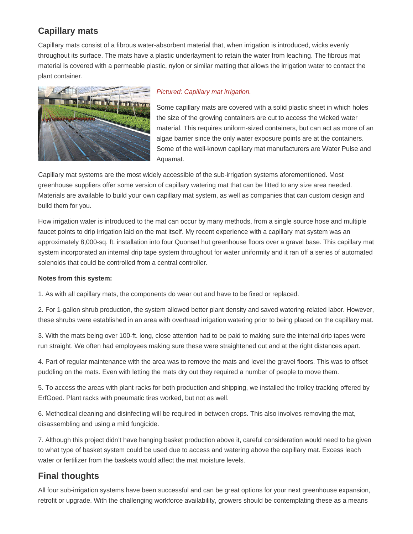## **Capillary mats**

Capillary mats consist of a fibrous water-absorbent material that, when irrigation is introduced, wicks evenly throughout its surface. The mats have a plastic underlayment to retain the water from leaching. The fibrous mat material is covered with a permeable plastic, nylon or similar matting that allows the irrigation water to contact the plant container.



#### Pictured: Capillary mat irrigation.

Some capillary mats are covered with a solid plastic sheet in which holes the size of the growing containers are cut to access the wicked water material. This requires uniform-sized containers, but can act as more of an algae barrier since the only water exposure points are at the containers. Some of the well-known capillary mat manufacturers are Water Pulse and Aquamat.

Capillary mat systems are the most widely accessible of the sub-irrigation systems aforementioned. Most greenhouse suppliers offer some version of capillary watering mat that can be fitted to any size area needed. Materials are available to build your own capillary mat system, as well as companies that can custom design and build them for you.

How irrigation water is introduced to the mat can occur by many methods, from a single source hose and multiple faucet points to drip irrigation laid on the mat itself. My recent experience with a capillary mat system was an approximately 8,000-sq. ft. installation into four Quonset hut greenhouse floors over a gravel base. This capillary mat system incorporated an internal drip tape system throughout for water uniformity and it ran off a series of automated solenoids that could be controlled from a central controller.

#### **Notes from this system:**

1. As with all capillary mats, the components do wear out and have to be fixed or replaced.

2. For 1-gallon shrub production, the system allowed better plant density and saved watering-related labor. However, these shrubs were established in an area with overhead irrigation watering prior to being placed on the capillary mat.

3. With the mats being over 100-ft. long, close attention had to be paid to making sure the internal drip tapes were run straight. We often had employees making sure these were straightened out and at the right distances apart.

4. Part of regular maintenance with the area was to remove the mats and level the gravel floors. This was to offset puddling on the mats. Even with letting the mats dry out they required a number of people to move them.

5. To access the areas with plant racks for both production and shipping, we installed the trolley tracking offered by ErfGoed. Plant racks with pneumatic tires worked, but not as well.

6. Methodical cleaning and disinfecting will be required in between crops. This also involves removing the mat, disassembling and using a mild fungicide.

7. Although this project didn't have hanging basket production above it, careful consideration would need to be given to what type of basket system could be used due to access and watering above the capillary mat. Excess leach water or fertilizer from the baskets would affect the mat moisture levels.

#### **Final thoughts**

All four sub-irrigation systems have been successful and can be great options for your next greenhouse expansion, retrofit or upgrade. With the challenging workforce availability, growers should be contemplating these as a means